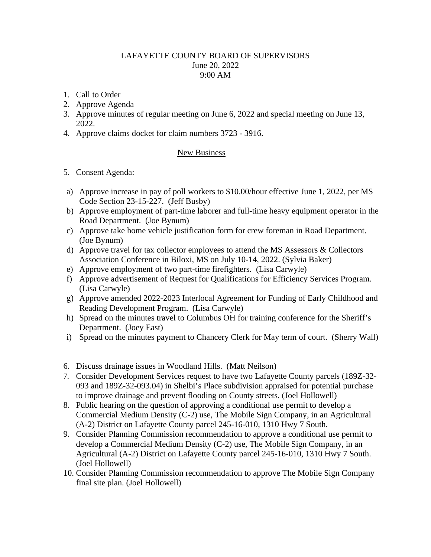## LAFAYETTE COUNTY BOARD OF SUPERVISORS June 20, 2022 9:00 AM

- 1. Call to Order
- 2. Approve Agenda
- 3. Approve minutes of regular meeting on June 6, 2022 and special meeting on June 13, 2022.
- 4. Approve claims docket for claim numbers 3723 3916.

## New Business

- 5. Consent Agenda:
- a) Approve increase in pay of poll workers to \$10.00/hour effective June 1, 2022, per MS Code Section 23-15-227. (Jeff Busby)
- b) Approve employment of part-time laborer and full-time heavy equipment operator in the Road Department. (Joe Bynum)
- c) Approve take home vehicle justification form for crew foreman in Road Department. (Joe Bynum)
- d) Approve travel for tax collector employees to attend the MS Assessors & Collectors Association Conference in Biloxi, MS on July 10-14, 2022. (Sylvia Baker)
- e) Approve employment of two part-time firefighters. (Lisa Carwyle)
- f) Approve advertisement of Request for Qualifications for Efficiency Services Program. (Lisa Carwyle)
- g) Approve amended 2022-2023 Interlocal Agreement for Funding of Early Childhood and Reading Development Program. (Lisa Carwyle)
- h) Spread on the minutes travel to Columbus OH for training conference for the Sheriff's Department. (Joey East)
- i) Spread on the minutes payment to Chancery Clerk for May term of court. (Sherry Wall)
- 6. Discuss drainage issues in Woodland Hills. (Matt Neilson)
- 7. Consider Development Services request to have two Lafayette County parcels (189Z-32- 093 and 189Z-32-093.04) in Shelbi's Place subdivision appraised for potential purchase to improve drainage and prevent flooding on County streets. (Joel Hollowell)
- 8. Public hearing on the question of approving a conditional use permit to develop a Commercial Medium Density (C-2) use, The Mobile Sign Company, in an Agricultural (A-2) District on Lafayette County parcel 245-16-010, 1310 Hwy 7 South.
- 9. Consider Planning Commission recommendation to approve a conditional use permit to develop a Commercial Medium Density (C-2) use, The Mobile Sign Company, in an Agricultural (A-2) District on Lafayette County parcel 245-16-010, 1310 Hwy 7 South. (Joel Hollowell)
- 10. Consider Planning Commission recommendation to approve The Mobile Sign Company final site plan. (Joel Hollowell)